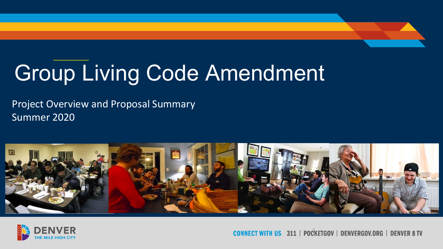## Group Living Code Amendment

Project Overview and Proposal Summary Summer 2020





IECT WITH US 311 | POCKETGOV | DENVERGOV.ORG | DENVER 8 TV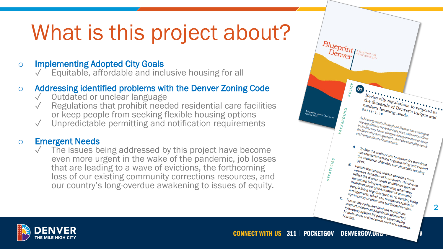## What is this project about?

o Implementing Adopted City Goals<br>
√ Equitable, affordable and inclusive housing for all

## o **Addressing identified problems with the Denver Zoning Code**<br>
√ Outdated or unclear language<br>
√ Regulations that prohibit needed residential care facilities

- 
- or keep people from seeking flexible housing options
- Unpredictable permitting and notification requirements

o Emergent Needs<br>
↓ The issues being addressed by this project have become even more urgent in the wake of the pandemic, job losses that are leading to a wave of evictions, the forthcoming loss of our existing community corrections resources, and our country's long -overdue awakening to issues of equity.



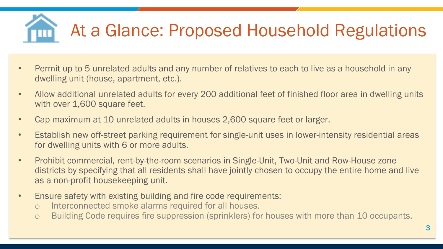# At a Glance: Proposed Household Regulations

- Permit up to 5 unrelated adults and any number of relatives to each to live as a household in any dwelling unit (house, apartment, etc.).
- Allow additional unrelated adults for every 200 additional feet of finished floor area in dwelling units with over 1,600 square feet.
- Cap maximum at 10 unrelated adults in houses 2,600 square feet or larger.
- Establish new off-street parking requirement for single-unit uses in lower-intensity residential areas for dwelling units with 6 or more adults.
- Prohibit commercial, rent-by-the-room scenarios in Single-Unit, Two-Unit and Row-House zone districts by specifying that all residents shall have jointly chosen to occupy the entire home and live as a non-profit housekeeping unit.
- Ensure safety with existing building and fire code requirements:
	- o Interconnected smoke alarms required for all houses.
	- o Building Code requires fire suppression (sprinklers) for houses with more than 10 occupants.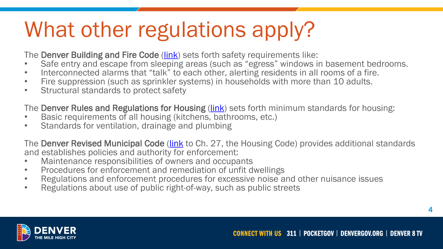## What other regulations apply?

The Denver Building and Fire Code (*link*) sets forth safety requirements like:

- Safe entry and escape from sleeping areas (such as "egress" windows in basement bedrooms.
- Interconnected alarms that "talk" to each other, alerting residents in all rooms of a fire.
- Fire suppression (such as sprinkler systems) in households with more than 10 adults.
- Structural standards to protect safety

The Denver Rules and Regulations for Housing ([link\)](https://www.denvergov.org/content/dam/denvergov/Portals/771/documents/PHI/HFHH/Residential-Housing-Regulation.pdf) sets forth minimum standards for housing:

- Basic requirements of all housing (kitchens, bathrooms, etc.)
- Standards for ventilation, drainage and plumbing

The Denver Revised Municipal Code (*link* to Ch. 27, the Housing Code) provides additional standards and establishes policies and authority for enforcement:

- Maintenance responsibilities of owners and occupants
- Procedures for enforcement and remediation of unfit dwellings
- Regulations and enforcement procedures for excessive noise and other nuisance issues
- Regulations about use of public right-of-way, such as public streets



4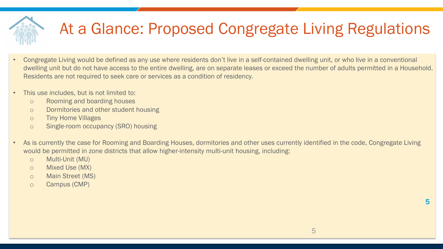## At a Glance: Proposed Congregate Living Regulations

- Congregate Living would be defined as any use where residents don't live in a self-contained dwelling unit, or who live in a conventional dwelling unit but do not have access to the entire dwelling, are on separate leases or exceed the number of adults permitted in a Household. Residents are not required to seek care or services as a condition of residency.
- This use includes, but is not limited to:
	- o Rooming and boarding houses
	- o Dormitories and other student housing
	- o Tiny Home Villages
	- o Single-room occupancy (SRO) housing
- As is currently the case for Rooming and Boarding Houses, dormitories and other uses currently identified in the code, Congregate Living would be permitted in zone districts that allow higher-intensity multi-unit housing, including:
	- o Multi-Unit (MU)
	- o Mixed Use (MX)
	- o Main Street (MS)
	- o Campus (CMP)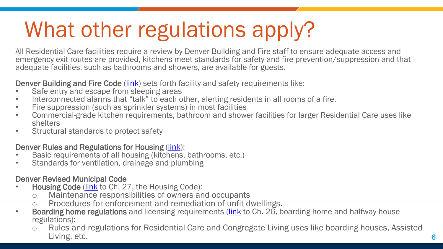## What other regulations apply?

All Residential Care facilities require a review by Denver Building and Fire staff to ensure adequate access and emergency exit routes are provided, kitchens meet standards for safety and fire prevention/suppression and that adequate facilities, such as bathrooms and showers, are available for guests.

- 
- 
- 
- **Denver Building and Fire Code** (*link*) sets forth facility and safety requirements like:<br>
 Safe entry and escape from sleeping areas<br>
 Interconnected alarms that "talk" to each other, alerting residents in all rooms of
- Structural standards to protect safety

- Denver Rules and Regulations for Housing [\(link](https://www.denvergov.org/content/dam/denvergov/Portals/771/documents/PHI/HFHH/Residential-Housing-Regulation.pdf)):<br>• Basic requirements of all housing (kitchens, bathrooms, etc.)<br>• Standards for ventilation, drainage and plumbing
- 

### Denver Revised Municipal Code

- Housing Code (*link* to Ch. 27, the Housing Code):
	- o Maintenance responsibilities of owners and occupants<br>
	o Procedures for enforcement and remediation of unfit dwellings.
	-
- $\circ$  Procedures for enforcement and remediation of unfit dwellings.<br>**Boarding home regulations** and licensing requirements [\(link](https://library.municode.com/co/denver/codes/code_of_ordinances?nodeId=TITIIREMUCO_CH26BOHOPECABOHONOREFATRSUOF) to Ch. 26, boarding home and halfway house regulations):
	- o Rules and regulations for Residential Care and Congregate Living uses like boarding houses, Assisted Living, etc. 6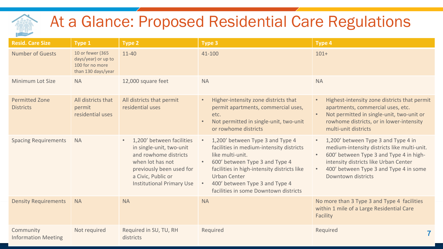### At a Glance: Proposed Residential Care Regulations

| <b>Resid. Care Size</b>                   | <b>Type 1</b>                                                                    | <b>Type 2</b>                                                                                                                                                                                         | <b>Type 3</b>                                                                                                                                                                                                                                                                                                                | <b>Type 4</b>                                                                                                                                                                                                                                                                   |
|-------------------------------------------|----------------------------------------------------------------------------------|-------------------------------------------------------------------------------------------------------------------------------------------------------------------------------------------------------|------------------------------------------------------------------------------------------------------------------------------------------------------------------------------------------------------------------------------------------------------------------------------------------------------------------------------|---------------------------------------------------------------------------------------------------------------------------------------------------------------------------------------------------------------------------------------------------------------------------------|
| <b>Number of Guests</b>                   | 10 or fewer (365<br>days/year) or up to<br>100 for no more<br>than 130 days/year | 11-40                                                                                                                                                                                                 | 41-100                                                                                                                                                                                                                                                                                                                       | $101+$                                                                                                                                                                                                                                                                          |
| Minimum Lot Size                          | <b>NA</b>                                                                        | 12,000 square feet                                                                                                                                                                                    | <b>NA</b>                                                                                                                                                                                                                                                                                                                    | <b>NA</b>                                                                                                                                                                                                                                                                       |
| <b>Permitted Zone</b><br><b>Districts</b> | All districts that<br>permit<br>residential uses                                 | All districts that permit<br>residential uses                                                                                                                                                         | Higher-intensity zone districts that<br>$\bullet$<br>permit apartments, commercial uses,<br>etc.<br>Not permitted in single-unit, two-unit<br>or rowhome districts                                                                                                                                                           | Highest-intensity zone districts that permit<br>$\bullet$ .<br>apartments, commercial uses, etc.<br>Not permitted in single-unit, two-unit or<br>$\bullet$<br>rowhome districts, or in lower-intensity<br>multi-unit districts                                                  |
| <b>Spacing Requirements</b>               | <b>NA</b>                                                                        | 1,200' between facilities<br>$\bullet$<br>in single-unit, two-unit<br>and rowhome districts<br>when lot has not<br>previously been used for<br>a Civic, Public or<br><b>Institutional Primary Use</b> | 1,200' between Type 3 and Type 4<br>$\bullet$ .<br>facilities in medium-intensity districts<br>like multi-unit.<br>600' between Type 3 and Type 4<br>$\bullet$<br>facilities in high-intensity districts like<br><b>Urban Center</b><br>400' between Type 3 and Type 4<br>$\bullet$<br>facilities in some Downtown districts | 1,200' between Type 3 and Type 4 in<br>$\bullet$ .<br>medium-intensity districts like multi-unit.<br>600' between Type 3 and Type 4 in high-<br>$\bullet$<br>intensity districts like Urban Center<br>400' between Type 3 and Type 4 in some<br>$\bullet$<br>Downtown districts |
| <b>Density Requirements</b>               | <b>NA</b>                                                                        | <b>NA</b>                                                                                                                                                                                             | <b>NA</b>                                                                                                                                                                                                                                                                                                                    | No more than 3 Type 3 and Type 4 facilities<br>within 1 mile of a Large Residential Care<br>Facility                                                                                                                                                                            |
| Community<br><b>Information Meeting</b>   | Not required                                                                     | Required in SU, TU, RH<br>districts                                                                                                                                                                   | Required                                                                                                                                                                                                                                                                                                                     | Required<br>$\overline{7}$                                                                                                                                                                                                                                                      |